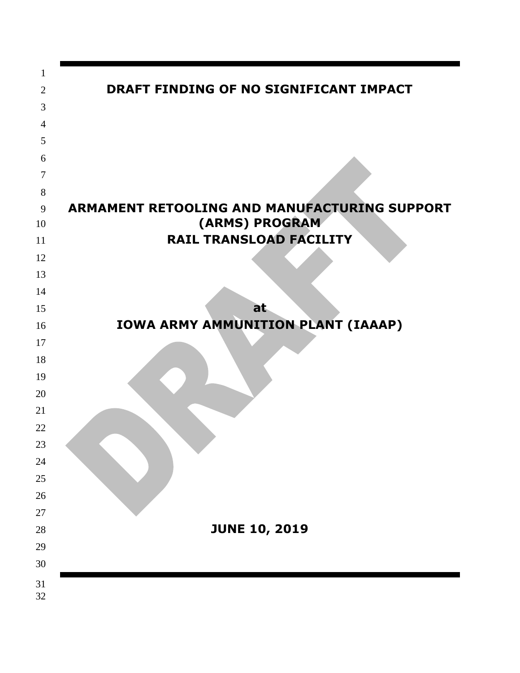| 1              |                                                                |
|----------------|----------------------------------------------------------------|
| $\overline{2}$ | DRAFT FINDING OF NO SIGNIFICANT IMPACT                         |
| 3              |                                                                |
| $\overline{4}$ |                                                                |
| 5              |                                                                |
| 6              |                                                                |
| 7              |                                                                |
| 8              |                                                                |
| 9<br>10        | ARMAMENT RETOOLING AND MANUFACTURING SUPPORT<br>(ARMS) PROGRAM |
| 11             | <b>RAIL TRANSLOAD FACILITY</b>                                 |
| 12             |                                                                |
| 13             |                                                                |
| 14             |                                                                |
| 15             | at                                                             |
| 16             | IOWA ARMY AMMUNITION PLANT (IAAAP)                             |
| 17             |                                                                |
| 18             |                                                                |
| 19             |                                                                |
| 20             |                                                                |
| 21             |                                                                |
| 22             |                                                                |
| 23             |                                                                |
| 24             |                                                                |
| 25             |                                                                |
| 26             |                                                                |
| 27             |                                                                |
| 28             | <b>JUNE 10, 2019</b>                                           |
| 29             |                                                                |
| 30             |                                                                |
| 31<br>32       |                                                                |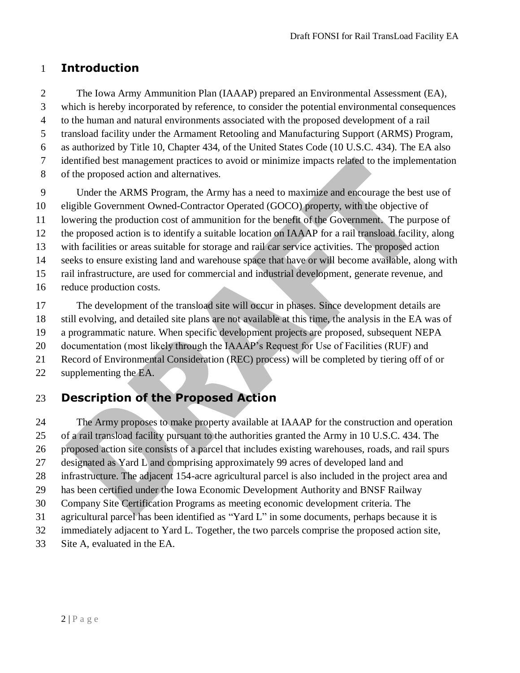### **Introduction**

 The Iowa Army Ammunition Plan (IAAAP) prepared an Environmental Assessment (EA), which is hereby incorporated by reference, to consider the potential environmental consequences to the human and natural environments associated with the proposed development of a rail transload facility under the Armament Retooling and Manufacturing Support (ARMS) Program, as authorized by Title 10, Chapter 434, of the United States Code (10 U.S.C. 434). The EA also identified best management practices to avoid or minimize impacts related to the implementation of the proposed action and alternatives.

 Under the ARMS Program, the Army has a need to maximize and encourage the best use of eligible Government Owned-Contractor Operated (GOCO) property, with the objective of lowering the production cost of ammunition for the benefit of the Government. The purpose of the proposed action is to identify a suitable location on IAAAP for a rail transload facility, along with facilities or areas suitable for storage and rail car service activities. The proposed action seeks to ensure existing land and warehouse space that have or will become available, along with rail infrastructure, are used for commercial and industrial development, generate revenue, and reduce production costs.

 The development of the transload site will occur in phases. Since development details are still evolving, and detailed site plans are not available at this time, the analysis in the EA was of a programmatic nature. When specific development projects are proposed, subsequent NEPA documentation (most likely through the IAAAP's Request for Use of Facilities (RUF) and Record of Environmental Consideration (REC) process) will be completed by tiering off of or supplementing the EA.

## **Description of the Proposed Action**

 The Army proposes to make property available at IAAAP for the construction and operation of a rail transload facility pursuant to the authorities granted the Army in 10 U.S.C. 434. The proposed action site consists of a parcel that includes existing warehouses, roads, and rail spurs designated as Yard L and comprising approximately 99 acres of developed land and infrastructure. The adjacent 154-acre agricultural parcel is also included in the project area and has been certified under the Iowa Economic Development Authority and BNSF Railway Company Site Certification Programs as meeting economic development criteria. The agricultural parcel has been identified as "Yard L" in some documents, perhaps because it is immediately adjacent to Yard L. Together, the two parcels comprise the proposed action site,

Site A, evaluated in the EA.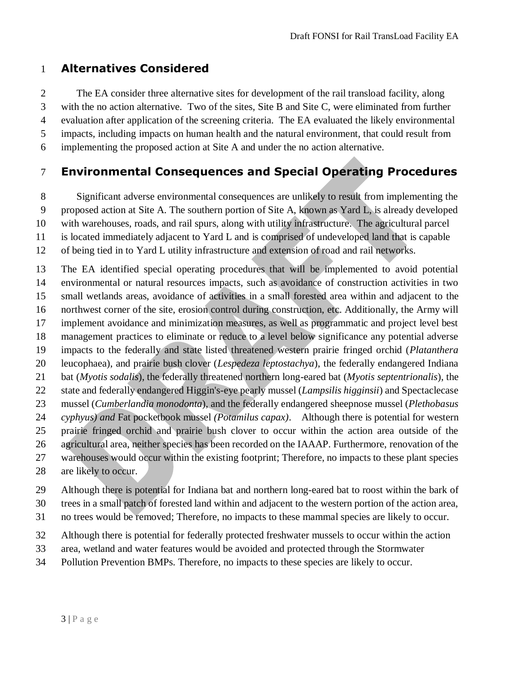## **Alternatives Considered**

 The EA consider three alternative sites for development of the rail transload facility, along with the no action alternative. Two of the sites, Site B and Site C, were eliminated from further evaluation after application of the screening criteria. The EA evaluated the likely environmental impacts, including impacts on human health and the natural environment, that could result from implementing the proposed action at Site A and under the no action alternative.

# **Environmental Consequences and Special Operating Procedures**

Significant adverse environmental consequences are unlikely to result from implementing the

proposed action at Site A. The southern portion of Site A, known as Yard L, is already developed

with warehouses, roads, and rail spurs, along with utility infrastructure. The agricultural parcel

is located immediately adjacent to Yard L and is comprised of undeveloped land that is capable

of being tied in to Yard L utility infrastructure and extension of road and rail networks.

 The EA identified special operating procedures that will be implemented to avoid potential environmental or natural resources impacts, such as avoidance of construction activities in two small wetlands areas, avoidance of activities in a small forested area within and adjacent to the northwest corner of the site, erosion control during construction, etc. Additionally, the Army will implement avoidance and minimization measures, as well as programmatic and project level best management practices to eliminate or reduce to a level below significance any potential adverse impacts to the federally and state listed threatened western prairie fringed orchid (*Platanthera*  leucophaea), and prairie bush clover (*Lespedeza leptostachya*), the federally endangered Indiana bat (*Myotis sodalis*), the federally threatened northern long-eared bat (*Myotis septentrionalis*), the state and federally endangered Higgin's-eye pearly mussel (*Lampsilis higginsii*) and Spectaclecase mussel (*Cumberlandia monodonta*), and the federally endangered sheepnose mussel (*Plethobasus cyphyus) and* Fat pocketbook mussel *(Potamilus capax)*. Although there is potential for western prairie fringed orchid and prairie bush clover to occur within the action area outside of the agricultural area, neither species has been recorded on the IAAAP. Furthermore, renovation of the warehouses would occur within the existing footprint; Therefore, no impacts to these plant species are likely to occur.

Although there is potential for Indiana bat and northern long-eared bat to roost within the bark of

trees in a small patch of forested land within and adjacent to the western portion of the action area,

no trees would be removed; Therefore, no impacts to these mammal species are likely to occur.

Although there is potential for federally protected freshwater mussels to occur within the action

area, wetland and water features would be avoided and protected through the Stormwater

Pollution Prevention BMPs. Therefore, no impacts to these species are likely to occur.